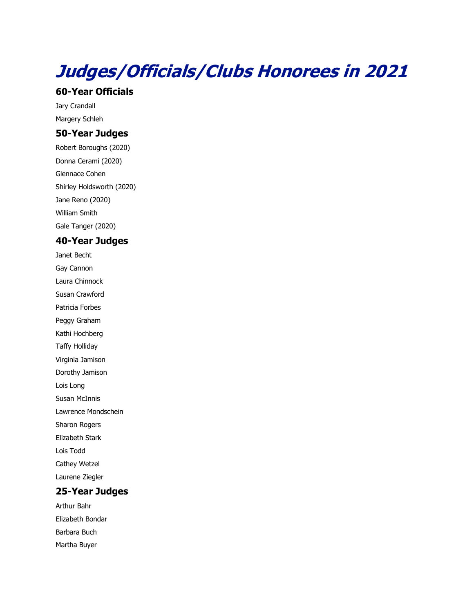# **Judges/Officials/Clubs Honorees in 2021**

#### **60-Year Officials**

Jary Crandall Margery Schleh

# **50-Year Judges**

Robert Boroughs (2020) Donna Cerami (2020) Glennace Cohen Shirley Holdsworth (2020) Jane Reno (2020) William Smith Gale Tanger (2020)

### **40-Year Judges**

Janet Becht Gay Cannon Laura Chinnock Susan Crawford Patricia Forbes Peggy Graham Kathi Hochberg Taffy Holliday Virginia Jamison Dorothy Jamison Lois Long Susan McInnis Lawrence Mondschein Sharon Rogers Elizabeth Stark Lois Todd Cathey Wetzel Laurene Ziegler

## **25-Year Judges**

Arthur Bahr Elizabeth Bondar Barbara Buch Martha Buyer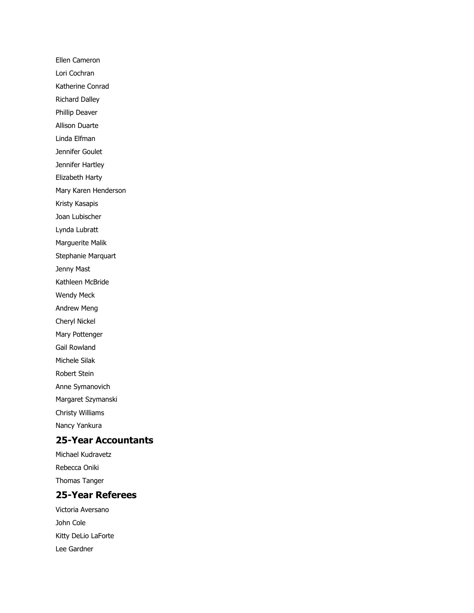Ellen Cameron Lori Cochran Katherine Conrad Richard Dalley Phillip Deaver Allison Duarte Linda Elfman Jennifer Goulet Jennifer Hartley Elizabeth Harty Mary Karen Henderson Kristy Kasapis Joan Lubischer Lynda Lubratt Marguerite Malik Stephanie Marquart Jenny Mast Kathleen McBride Wendy Meck Andrew Meng Cheryl Nickel Mary Pottenger Gail Rowland Michele Silak Robert Stein Anne Symanovich Margaret Szymanski Christy Williams Nancy Yankura

#### **25-Year Accountants**

Michael Kudravetz Rebecca Oniki Thomas Tanger

### **25-Year Referees**

Victoria Aversano John Cole Kitty DeLio LaForte Lee Gardner